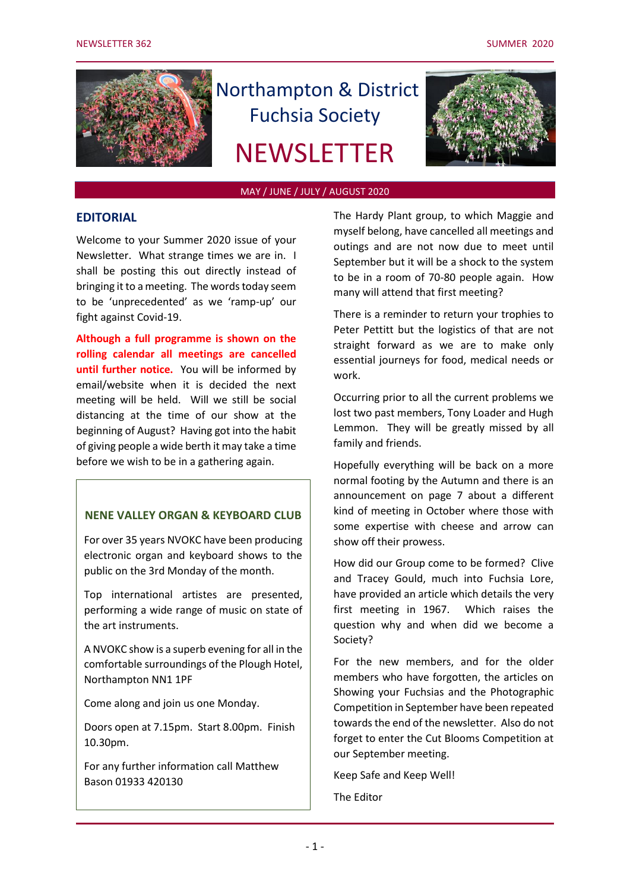

# Northampton & District Fuchsia Society

## **NEWSLETTER**



#### MAY / JUNE / JULY / AUGUST 2020

#### **EDITORIAL**

Welcome to your Summer 2020 issue of your Newsletter. What strange times we are in. I shall be posting this out directly instead of bringing it to a meeting. The words today seem to be 'unprecedented' as we 'ramp-up' our fight against Covid-19.

**Although a full programme is shown on the rolling calendar all meetings are cancelled until further notice.** You will be informed by email/website when it is decided the next meeting will be held. Will we still be social distancing at the time of our show at the beginning of August? Having got into the habit of giving people a wide berth it may take a time before we wish to be in a gathering again.

## **NENE VALLEY ORGAN & KEYBOARD CLUB**

For over 35 years NVOKC have been producing electronic organ and keyboard shows to the public on the 3rd Monday of the month.

Top international artistes are presented, performing a wide range of music on state of the art instruments.

A NVOKC show is a superb evening for all in the comfortable surroundings of the Plough Hotel, Northampton NN1 1PF

Come along and join us one Monday.

Doors open at 7.15pm. Start 8.00pm. Finish 10.30pm.

For any further information call Matthew Bason 01933 420130

The Hardy Plant group, to which Maggie and myself belong, have cancelled all meetings and outings and are not now due to meet until September but it will be a shock to the system to be in a room of 70-80 people again. How many will attend that first meeting?

There is a reminder to return your trophies to Peter Pettitt but the logistics of that are not straight forward as we are to make only essential journeys for food, medical needs or work.

Occurring prior to all the current problems we lost two past members, Tony Loader and Hugh Lemmon. They will be greatly missed by all family and friends.

Hopefully everything will be back on a more normal footing by the Autumn and there is an announcement on page 7 about a different kind of meeting in October where those with some expertise with cheese and arrow can show off their prowess.

How did our Group come to be formed? Clive and Tracey Gould, much into Fuchsia Lore, have provided an article which details the very first meeting in 1967. Which raises the question why and when did we become a Society?

For the new members, and for the older members who have forgotten, the articles on Showing your Fuchsias and the Photographic Competition in September have been repeated towards the end of the newsletter. Also do not forget to enter the Cut Blooms Competition at our September meeting.

Keep Safe and Keep Well!

The Editor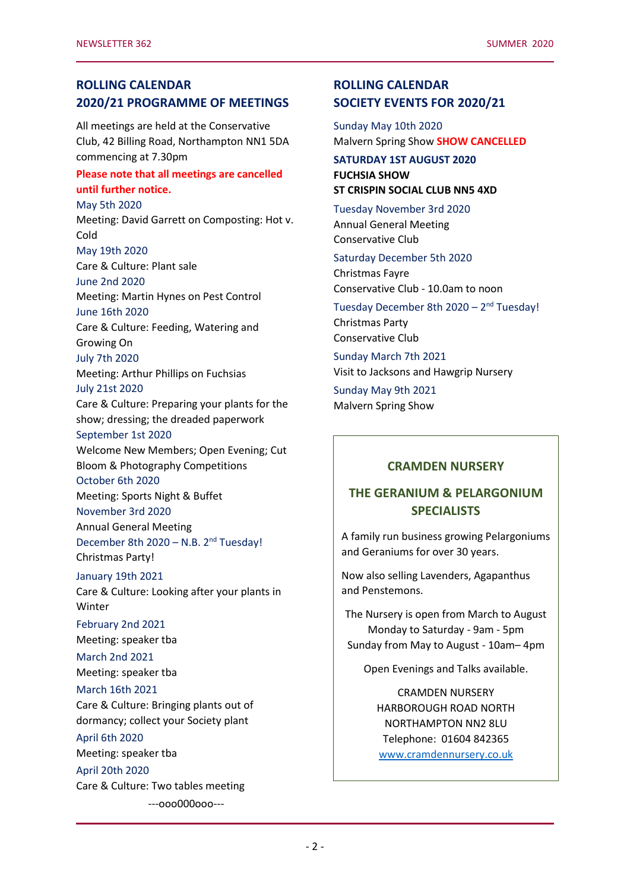## **ROLLING CALENDAR 2020/21 PROGRAMME OF MEETINGS**

All meetings are held at the Conservative Club, 42 Billing Road, Northampton NN1 5DA commencing at 7.30pm

#### **Please note that all meetings are cancelled until further notice.**

May 5th 2020 Meeting: David Garrett on Composting: Hot v. Cold May 19th 2020 Care & Culture: Plant sale June 2nd 2020 Meeting: Martin Hynes on Pest Control June 16th 2020 Care & Culture: Feeding, Watering and Growing On July 7th 2020 Meeting: Arthur Phillips on Fuchsias July 21st 2020 Care & Culture: Preparing your plants for the show; dressing; the dreaded paperwork September 1st 2020 Welcome New Members; Open Evening; Cut Bloom & Photography Competitions October 6th 2020 Meeting: Sports Night & Buffet November 3rd 2020 Annual General Meeting December 8th 2020 - N.B. 2<sup>nd</sup> Tuesday! Christmas Party! January 19th 2021 Care & Culture: Looking after your plants in Winter February 2nd 2021 Meeting: speaker tba March 2nd 2021 Meeting: speaker tba March 16th 2021 Care & Culture: Bringing plants out of dormancy; collect your Society plant April 6th 2020 Meeting: speaker tba April 20th 2020 Care & Culture: Two tables meeting ---ooo000ooo---

## **ROLLING CALENDAR SOCIETY EVENTS FOR 2020/21**

Sunday May 10th 2020 Malvern Spring Show **SHOW CANCELLED**

#### **SATURDAY 1ST AUGUST 2020 FUCHSIA SHOW ST CRISPIN SOCIAL CLUB NN5 4XD**

Tuesday November 3rd 2020 Annual General Meeting Conservative Club

Saturday December 5th 2020 Christmas Fayre Conservative Club - 10.0am to noon

Tuesday December 8th 2020 - 2<sup>nd</sup> Tuesday! Christmas Party Conservative Club

Sunday March 7th 2021 Visit to Jacksons and Hawgrip Nursery

Sunday May 9th 2021 Malvern Spring Show

## **CRAMDEN NURSERY**

## **THE GERANIUM & PELARGONIUM SPECIALISTS**

A family run business growing Pelargoniums and Geraniums for over 30 years.

Now also selling Lavenders, Agapanthus and Penstemons.

The Nursery is open from March to August Monday to Saturday - 9am - 5pm Sunday from May to August - 10am– 4pm

Open Evenings and Talks available.

CRAMDEN NURSERY HARBOROUGH ROAD NORTH NORTHAMPTON NN2 8LU Telephone: 01604 842365 [www.cramdennursery.co.uk](http://www.cramdennursery.co.uk/)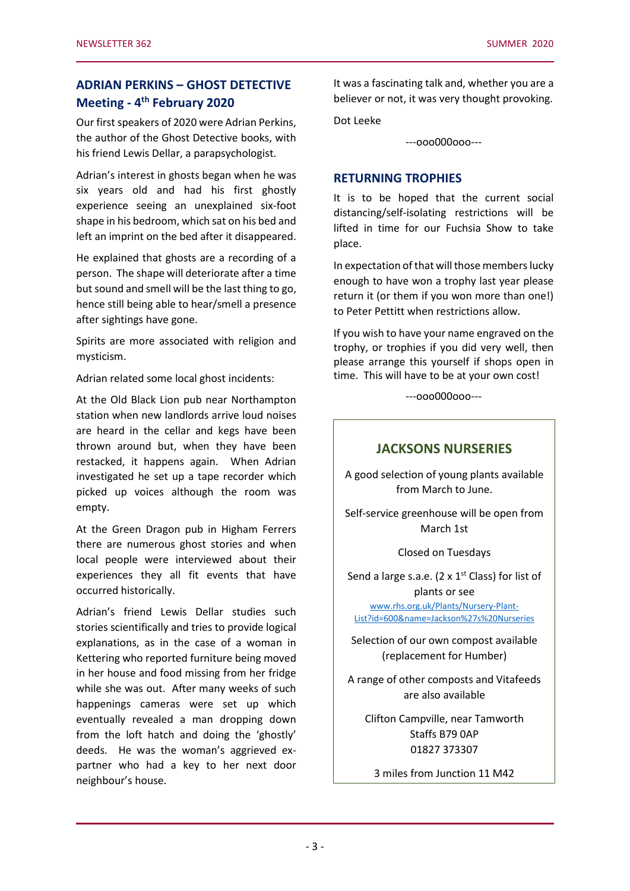## **ADRIAN PERKINS – GHOST DETECTIVE Meeting - 4 th February 2020**

Our first speakers of 2020 were Adrian Perkins, the author of the Ghost Detective books, with his friend Lewis Dellar, a parapsychologist.

Adrian's interest in ghosts began when he was six years old and had his first ghostly experience seeing an unexplained six-foot shape in his bedroom, which sat on his bed and left an imprint on the bed after it disappeared.

He explained that ghosts are a recording of a person. The shape will deteriorate after a time but sound and smell will be the last thing to go, hence still being able to hear/smell a presence after sightings have gone.

Spirits are more associated with religion and mysticism.

Adrian related some local ghost incidents:

At the Old Black Lion pub near Northampton station when new landlords arrive loud noises are heard in the cellar and kegs have been thrown around but, when they have been restacked, it happens again. When Adrian investigated he set up a tape recorder which picked up voices although the room was empty.

At the Green Dragon pub in Higham Ferrers there are numerous ghost stories and when local people were interviewed about their experiences they all fit events that have occurred historically.

Adrian's friend Lewis Dellar studies such stories scientifically and tries to provide logical explanations, as in the case of a woman in Kettering who reported furniture being moved in her house and food missing from her fridge while she was out. After many weeks of such happenings cameras were set up which eventually revealed a man dropping down from the loft hatch and doing the 'ghostly' deeds. He was the woman's aggrieved expartner who had a key to her next door neighbour's house.

It was a fascinating talk and, whether you are a believer or not, it was very thought provoking.

Dot Leeke

---ooo000ooo---

#### **RETURNING TROPHIES**

It is to be hoped that the current social distancing/self-isolating restrictions will be lifted in time for our Fuchsia Show to take place.

In expectation of that will those members lucky enough to have won a trophy last year please return it (or them if you won more than one!) to Peter Pettitt when restrictions allow.

If you wish to have your name engraved on the trophy, or trophies if you did very well, then please arrange this yourself if shops open in time. This will have to be at your own cost!

---ooo000ooo---

### **JACKSONS NURSERIES**

A good selection of young plants available from March to June.

Self-service greenhouse will be open from March 1st

Closed on Tuesdays

Send a large s.a.e. (2  $\times$  1<sup>st</sup> Class) for list of plants or see

[www.rhs.org.uk/Plants/Nursery-Plant-](file:///C:/Users/Peter/Documents/NDFS/www.rhs.org.uk/Plants/Nursery-Plant-List%3fid=600&name=Jackson)[List?id=600&name=Jackson%27s%20Nurseries](file:///C:/Users/Peter/Documents/NDFS/www.rhs.org.uk/Plants/Nursery-Plant-List%3fid=600&name=Jackson)

Selection of our own compost available (replacement for Humber)

A range of other composts and Vitafeeds are also available

Clifton Campville, near Tamworth Staffs B79 0AP 01827 373307

3 miles from Junction 11 M42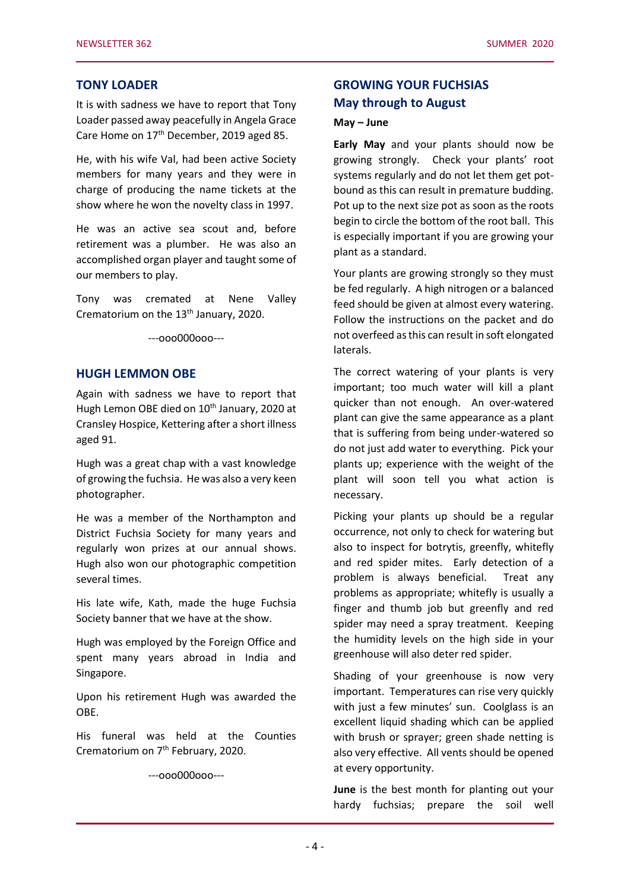#### **TONY LOADER**

It is with sadness we have to report that Tony Loader passed away peacefully in Angela Grace Care Home on 17<sup>th</sup> December, 2019 aged 85.

He, with his wife Val, had been active Society members for many years and they were in charge of producing the name tickets at the show where he won the novelty class in 1997.

He was an active sea scout and, before retirement was a plumber. He was also an accomplished organ player and taught some of our members to play.

Tony was cremated at Nene Valley Crematorium on the 13<sup>th</sup> January, 2020.

---ooo000ooo---

#### **HUGH LEMMON OBE**

Again with sadness we have to report that Hugh Lemon OBE died on 10<sup>th</sup> January, 2020 at Cransley Hospice, Kettering after a short illness aged 91.

Hugh was a great chap with a vast knowledge of growing the fuchsia. He was also a very keen photographer.

He was a member of the Northampton and District Fuchsia Society for many years and regularly won prizes at our annual shows. Hugh also won our photographic competition several times.

His late wife, Kath, made the huge Fuchsia Society banner that we have at the show.

Hugh was employed by the Foreign Office and spent many years abroad in India and Singapore.

Upon his retirement Hugh was awarded the OBE.

His funeral was held at the Counties Crematorium on 7<sup>th</sup> February, 2020.

---ooo000ooo---

## **GROWING YOUR FUCHSIAS May through to August**

#### **May – June**

**Early May** and your plants should now be growing strongly. Check your plants' root systems regularly and do not let them get potbound as this can result in premature budding. Pot up to the next size pot as soon as the roots begin to circle the bottom of the root ball. This is especially important if you are growing your plant as a standard.

Your plants are growing strongly so they must be fed regularly. A high nitrogen or a balanced feed should be given at almost every watering. Follow the instructions on the packet and do not overfeed as this can result in soft elongated laterals.

The correct watering of your plants is very important; too much water will kill a plant quicker than not enough. An over-watered plant can give the same appearance as a plant that is suffering from being under-watered so do not just add water to everything. Pick your plants up; experience with the weight of the plant will soon tell you what action is necessary.

Picking your plants up should be a regular occurrence, not only to check for watering but also to inspect for botrytis, greenfly, whitefly and red spider mites. Early detection of a problem is always beneficial. Treat any problems as appropriate; whitefly is usually a finger and thumb job but greenfly and red spider may need a spray treatment. Keeping the humidity levels on the high side in your greenhouse will also deter red spider.

Shading of your greenhouse is now very important. Temperatures can rise very quickly with just a few minutes' sun. Coolglass is an excellent liquid shading which can be applied with brush or sprayer; green shade netting is also very effective. All vents should be opened at every opportunity.

**June** is the best month for planting out your hardy fuchsias; prepare the soil well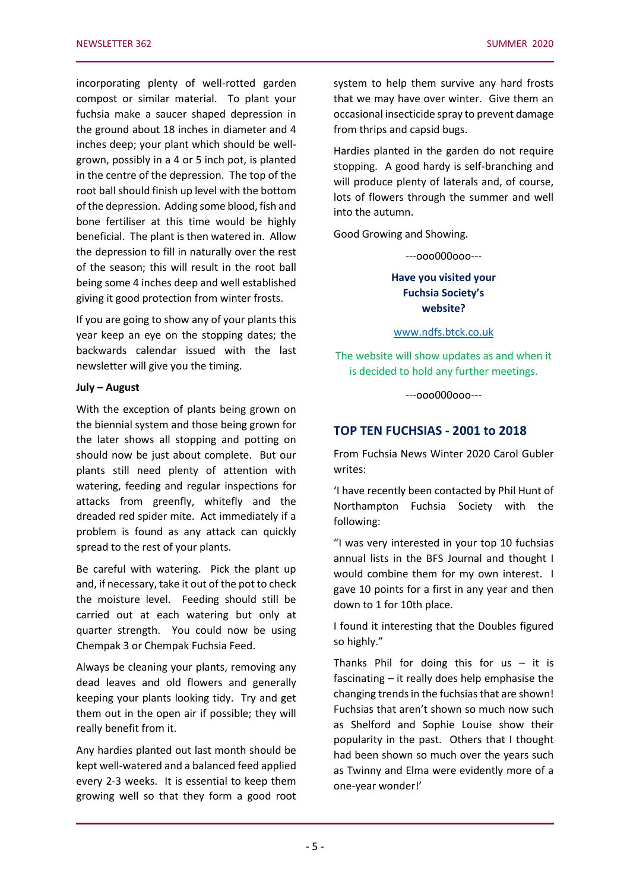incorporating plenty of well-rotted garden compost or similar material. To plant your fuchsia make a saucer shaped depression in the ground about 18 inches in diameter and 4 inches deep; your plant which should be wellgrown, possibly in a 4 or 5 inch pot, is planted in the centre of the depression. The top of the root ball should finish up level with the bottom of the depression. Adding some blood, fish and bone fertiliser at this time would be highly beneficial. The plant is then watered in. Allow the depression to fill in naturally over the rest of the season; this will result in the root ball being some 4 inches deep and well established giving it good protection from winter frosts.

If you are going to show any of your plants this year keep an eye on the stopping dates; the backwards calendar issued with the last newsletter will give you the timing.

#### **July – August**

With the exception of plants being grown on the biennial system and those being grown for the later shows all stopping and potting on should now be just about complete. But our plants still need plenty of attention with watering, feeding and regular inspections for attacks from greenfly, whitefly and the dreaded red spider mite. Act immediately if a problem is found as any attack can quickly spread to the rest of your plants.

Be careful with watering. Pick the plant up and, if necessary, take it out of the pot to check the moisture level. Feeding should still be carried out at each watering but only at quarter strength. You could now be using Chempak 3 or Chempak Fuchsia Feed.

Always be cleaning your plants, removing any dead leaves and old flowers and generally keeping your plants looking tidy. Try and get them out in the open air if possible; they will really benefit from it.

Any hardies planted out last month should be kept well-watered and a balanced feed applied every 2-3 weeks. It is essential to keep them growing well so that they form a good root system to help them survive any hard frosts that we may have over winter. Give them an occasional insecticide spray to prevent damage from thrips and capsid bugs.

Hardies planted in the garden do not require stopping. A good hardy is self-branching and will produce plenty of laterals and, of course, lots of flowers through the summer and well into the autumn.

Good Growing and Showing.

---ooo000ooo---

**Have you visited your Fuchsia Society's website?**

[www.ndfs.btck.co.uk](http://www.ndfs.btck.co.uk/)

The website will show updates as and when it is decided to hold any further meetings.

---ooo000ooo---

#### **TOP TEN FUCHSIAS - 2001 to 2018**

From Fuchsia News Winter 2020 Carol Gubler writes:

'I have recently been contacted by Phil Hunt of Northampton Fuchsia Society with the following:

"I was very interested in your top 10 fuchsias annual lists in the BFS Journal and thought I would combine them for my own interest. I gave 10 points for a first in any year and then down to 1 for 10th place.

I found it interesting that the Doubles figured so highly."

Thanks Phil for doing this for  $us - it$  is fascinating – it really does help emphasise the changing trends in the fuchsias that are shown! Fuchsias that aren't shown so much now such as Shelford and Sophie Louise show their popularity in the past. Others that I thought had been shown so much over the years such as Twinny and Elma were evidently more of a one-year wonder!'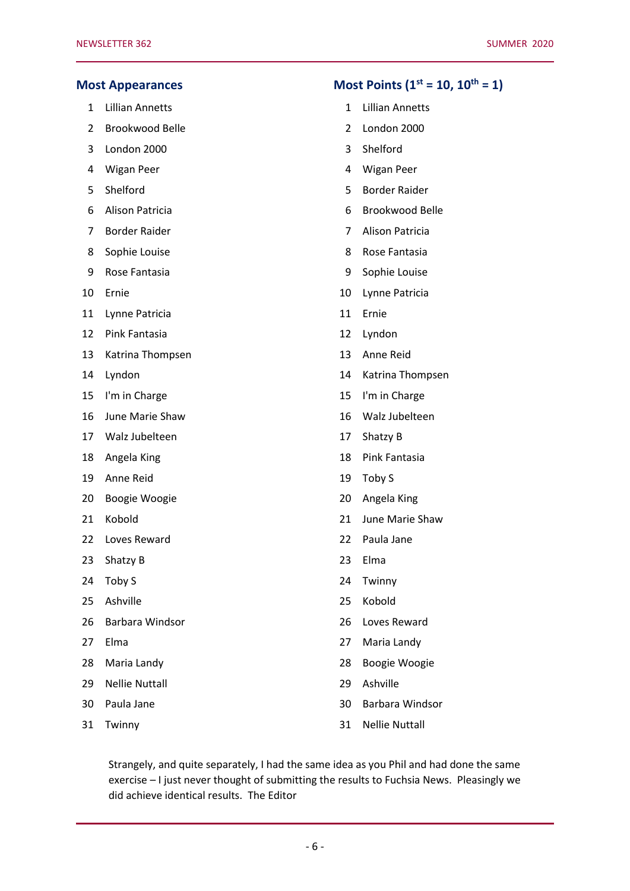|                | <b>Most Appearances</b> |    | Most Points ( $1^{st}$ = 10, $10^{th}$ = 1) |
|----------------|-------------------------|----|---------------------------------------------|
| $\mathbf{1}$   | <b>Lillian Annetts</b>  | 1  | <b>Lillian Annetts</b>                      |
| $\overline{2}$ | Brookwood Belle         | 2  | London 2000                                 |
| 3              | London 2000             | 3  | Shelford                                    |
| 4              | Wigan Peer              | 4  | <b>Wigan Peer</b>                           |
| 5              | Shelford                | 5  | <b>Border Raider</b>                        |
| 6              | Alison Patricia         | 6  | Brookwood Belle                             |
| 7              | <b>Border Raider</b>    | 7  | Alison Patricia                             |
| 8              | Sophie Louise           | 8  | Rose Fantasia                               |
| 9              | Rose Fantasia           | 9  | Sophie Louise                               |
| 10             | Ernie                   | 10 | Lynne Patricia                              |
| 11             | Lynne Patricia          | 11 | Ernie                                       |
| 12             | Pink Fantasia           | 12 | Lyndon                                      |
| 13             | Katrina Thompsen        | 13 | Anne Reid                                   |
| 14             | Lyndon                  | 14 | Katrina Thompsen                            |
| 15             | I'm in Charge           | 15 | I'm in Charge                               |
| 16             | June Marie Shaw         | 16 | Walz Jubelteen                              |
| 17             | Walz Jubelteen          | 17 | Shatzy B                                    |
| 18             | Angela King             | 18 | Pink Fantasia                               |
| 19             | Anne Reid               | 19 | Toby S                                      |
| 20             | Boogie Woogie           | 20 | Angela King                                 |
| 21             | Kobold                  | 21 | June Marie Shaw                             |
| 22             | Loves Reward            | 22 | Paula Jane                                  |
| 23             | Shatzy B                | 23 | Elma                                        |
| 24             | Toby S                  | 24 | Twinny                                      |
| 25             | Ashville                | 25 | Kobold                                      |
| 26             | Barbara Windsor         | 26 | Loves Reward                                |
| 27             | Elma                    | 27 | Maria Landy                                 |
| 28             | Maria Landy             | 28 | Boogie Woogie                               |
| 29             | <b>Nellie Nuttall</b>   | 29 | Ashville                                    |
| 30             | Paula Jane              | 30 | Barbara Windsor                             |
| 31             | Twinny                  | 31 | <b>Nellie Nuttall</b>                       |

Strangely, and quite separately, I had the same idea as you Phil and had done the same exercise – I just never thought of submitting the results to Fuchsia News. Pleasingly we did achieve identical results. The Editor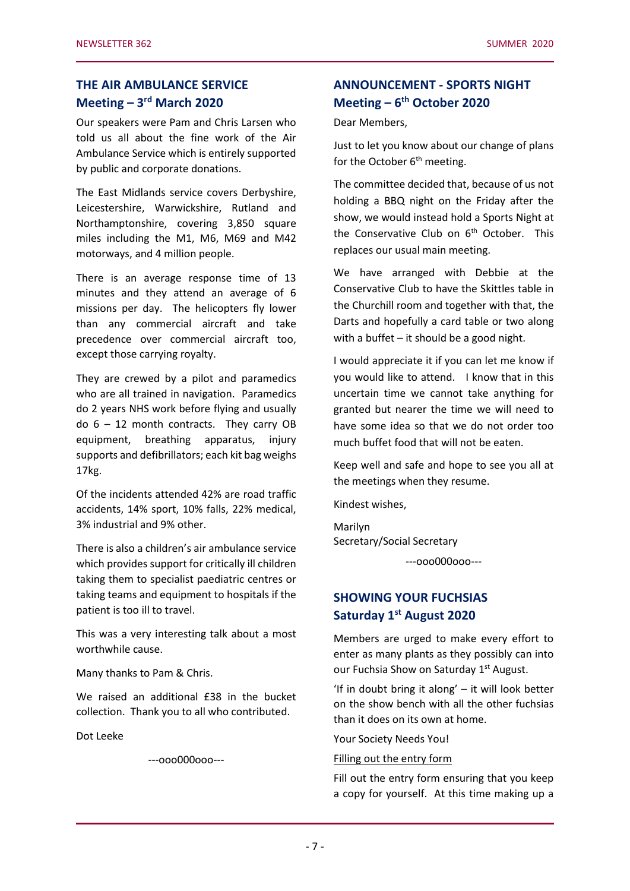## **THE AIR AMBULANCE SERVICE Meeting – 3 rd March 2020**

Our speakers were Pam and Chris Larsen who told us all about the fine work of the Air Ambulance Service which is entirely supported by public and corporate donations.

The East Midlands service covers Derbyshire, Leicestershire, Warwickshire, Rutland and Northamptonshire, covering 3,850 square miles including the M1, M6, M69 and M42 motorways, and 4 million people.

There is an average response time of 13 minutes and they attend an average of 6 missions per day. The helicopters fly lower than any commercial aircraft and take precedence over commercial aircraft too, except those carrying royalty.

They are crewed by a pilot and paramedics who are all trained in navigation. Paramedics do 2 years NHS work before flying and usually do  $6 - 12$  month contracts. They carry OB equipment, breathing apparatus, injury supports and defibrillators; each kit bag weighs 17kg.

Of the incidents attended 42% are road traffic accidents, 14% sport, 10% falls, 22% medical, 3% industrial and 9% other.

There is also a children's air ambulance service which provides support for critically ill children taking them to specialist paediatric centres or taking teams and equipment to hospitals if the patient is too ill to travel.

This was a very interesting talk about a most worthwhile cause.

Many thanks to Pam & Chris.

We raised an additional £38 in the bucket collection. Thank you to all who contributed.

Dot Leeke

---ooo000ooo---

## **ANNOUNCEMENT - SPORTS NIGHT Meeting – 6 th October 2020**

Dear Members,

Just to let you know about our change of plans for the October  $6<sup>th</sup>$  meeting.

The committee decided that, because of us not holding a BBQ night on the Friday after the show, we would instead hold a Sports Night at the Conservative Club on  $6<sup>th</sup>$  October. This replaces our usual main meeting.

We have arranged with Debbie at the Conservative Club to have the Skittles table in the Churchill room and together with that, the Darts and hopefully a card table or two along with a buffet – it should be a good night.

I would appreciate it if you can let me know if you would like to attend. I know that in this uncertain time we cannot take anything for granted but nearer the time we will need to have some idea so that we do not order too much buffet food that will not be eaten.

Keep well and safe and hope to see you all at the meetings when they resume.

Kindest wishes,

Marilyn Secretary/Social Secretary

---ooo000ooo---

## **SHOWING YOUR FUCHSIAS Saturday 1 st August 2020**

Members are urged to make every effort to enter as many plants as they possibly can into our Fuchsia Show on Saturday 1<sup>st</sup> August.

'If in doubt bring it along' – it will look better on the show bench with all the other fuchsias than it does on its own at home.

Your Society Needs You!

#### Filling out the entry form

Fill out the entry form ensuring that you keep a copy for yourself. At this time making up a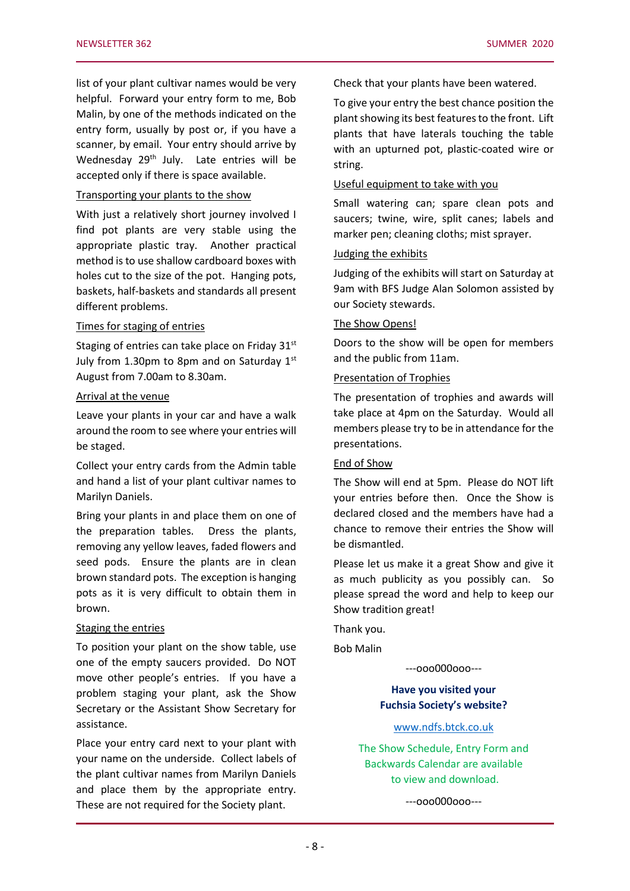list of your plant cultivar names would be very helpful. Forward your entry form to me, Bob Malin, by one of the methods indicated on the entry form, usually by post or, if you have a scanner, by email. Your entry should arrive by Wednesday 29<sup>th</sup> July. Late entries will be accepted only if there is space available.

#### Transporting your plants to the show

With just a relatively short journey involved I find pot plants are very stable using the appropriate plastic tray. Another practical method is to use shallow cardboard boxes with holes cut to the size of the pot. Hanging pots, baskets, half-baskets and standards all present different problems.

#### Times for staging of entries

Staging of entries can take place on Friday 31st July from 1.30pm to 8pm and on Saturday  $1<sup>st</sup>$ August from 7.00am to 8.30am.

#### Arrival at the venue

Leave your plants in your car and have a walk around the room to see where your entries will be staged.

Collect your entry cards from the Admin table and hand a list of your plant cultivar names to Marilyn Daniels.

Bring your plants in and place them on one of the preparation tables. Dress the plants, removing any yellow leaves, faded flowers and seed pods. Ensure the plants are in clean brown standard pots. The exception is hanging pots as it is very difficult to obtain them in brown.

#### Staging the entries

To position your plant on the show table, use one of the empty saucers provided. Do NOT move other people's entries. If you have a problem staging your plant, ask the Show Secretary or the Assistant Show Secretary for assistance.

Place your entry card next to your plant with your name on the underside. Collect labels of the plant cultivar names from Marilyn Daniels and place them by the appropriate entry. These are not required for the Society plant.

Check that your plants have been watered.

To give your entry the best chance position the plant showing its best features to the front. Lift plants that have laterals touching the table with an upturned pot, plastic-coated wire or string.

#### Useful equipment to take with you

Small watering can; spare clean pots and saucers; twine, wire, split canes; labels and marker pen; cleaning cloths; mist sprayer.

#### Judging the exhibits

Judging of the exhibits will start on Saturday at 9am with BFS Judge Alan Solomon assisted by our Society stewards.

#### The Show Opens!

Doors to the show will be open for members and the public from 11am.

#### Presentation of Trophies

The presentation of trophies and awards will take place at 4pm on the Saturday. Would all members please try to be in attendance for the presentations.

#### End of Show

The Show will end at 5pm. Please do NOT lift your entries before then. Once the Show is declared closed and the members have had a chance to remove their entries the Show will be dismantled.

Please let us make it a great Show and give it as much publicity as you possibly can. So please spread the word and help to keep our Show tradition great!

Thank you.

Bob Malin

---ooo000ooo---

**Have you visited your Fuchsia Society's website?**

#### [www.ndfs.btck.co.uk](http://www.ndfs.btck.co.uk/)

The Show Schedule, Entry Form and Backwards Calendar are available to view and download.

---ooo000ooo---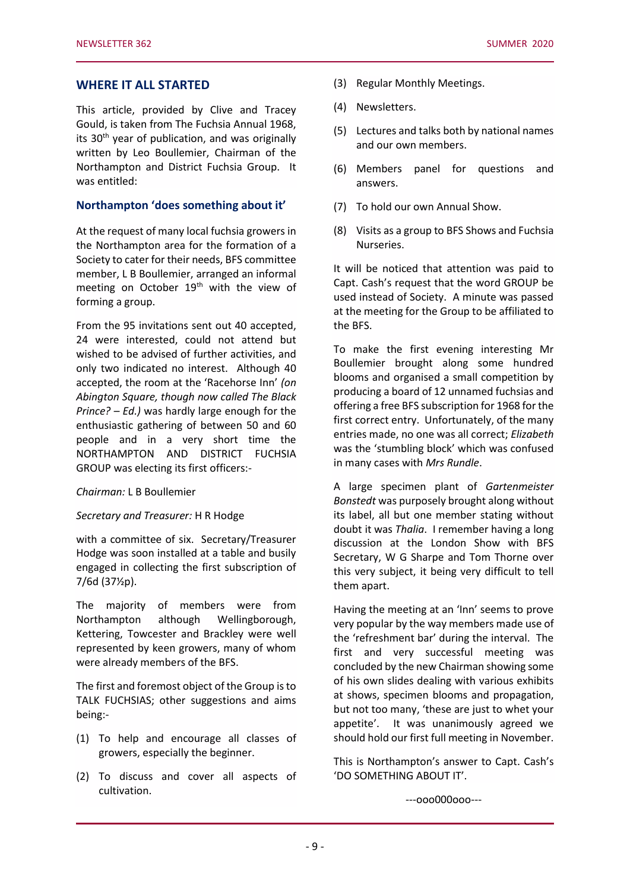#### **WHERE IT ALL STARTED**

This article, provided by Clive and Tracey Gould, is taken from The Fuchsia Annual 1968, its  $30<sup>th</sup>$  year of publication, and was originally written by Leo Boullemier, Chairman of the Northampton and District Fuchsia Group. It was entitled:

#### **Northampton 'does something about it'**

At the request of many local fuchsia growers in the Northampton area for the formation of a Society to cater for their needs, BFS committee member, L B Boullemier, arranged an informal meeting on October 19<sup>th</sup> with the view of forming a group.

From the 95 invitations sent out 40 accepted, 24 were interested, could not attend but wished to be advised of further activities, and only two indicated no interest. Although 40 accepted, the room at the 'Racehorse Inn' *(on Abington Square, though now called The Black Prince? – Ed.)* was hardly large enough for the enthusiastic gathering of between 50 and 60 people and in a very short time the NORTHAMPTON AND DISTRICT FUCHSIA GROUP was electing its first officers:-

#### *Chairman:* L B Boullemier

#### *Secretary and Treasurer:* H R Hodge

with a committee of six. Secretary/Treasurer Hodge was soon installed at a table and busily engaged in collecting the first subscription of 7/6d (37½p).

The majority of members were from Northampton although Wellingborough, Kettering, Towcester and Brackley were well represented by keen growers, many of whom were already members of the BFS.

The first and foremost object of the Group is to TALK FUCHSIAS; other suggestions and aims being:-

- (1) To help and encourage all classes of growers, especially the beginner.
- (2) To discuss and cover all aspects of cultivation.
- (3) Regular Monthly Meetings.
- (4) Newsletters.
- (5) Lectures and talks both by national names and our own members.
- (6) Members panel for questions and answers.
- (7) To hold our own Annual Show.
- (8) Visits as a group to BFS Shows and Fuchsia Nurseries.

It will be noticed that attention was paid to Capt. Cash's request that the word GROUP be used instead of Society. A minute was passed at the meeting for the Group to be affiliated to the BFS.

To make the first evening interesting Mr Boullemier brought along some hundred blooms and organised a small competition by producing a board of 12 unnamed fuchsias and offering a free BFS subscription for 1968 for the first correct entry. Unfortunately, of the many entries made, no one was all correct; *Elizabeth* was the 'stumbling block' which was confused in many cases with *Mrs Rundle*.

A large specimen plant of *Gartenmeister Bonstedt* was purposely brought along without its label, all but one member stating without doubt it was *Thalia*. I remember having a long discussion at the London Show with BFS Secretary, W G Sharpe and Tom Thorne over this very subject, it being very difficult to tell them apart.

Having the meeting at an 'Inn' seems to prove very popular by the way members made use of the 'refreshment bar' during the interval. The first and very successful meeting was concluded by the new Chairman showing some of his own slides dealing with various exhibits at shows, specimen blooms and propagation, but not too many, 'these are just to whet your appetite'. It was unanimously agreed we should hold our first full meeting in November.

This is Northampton's answer to Capt. Cash's 'DO SOMETHING ABOUT IT'.

---ooo000ooo---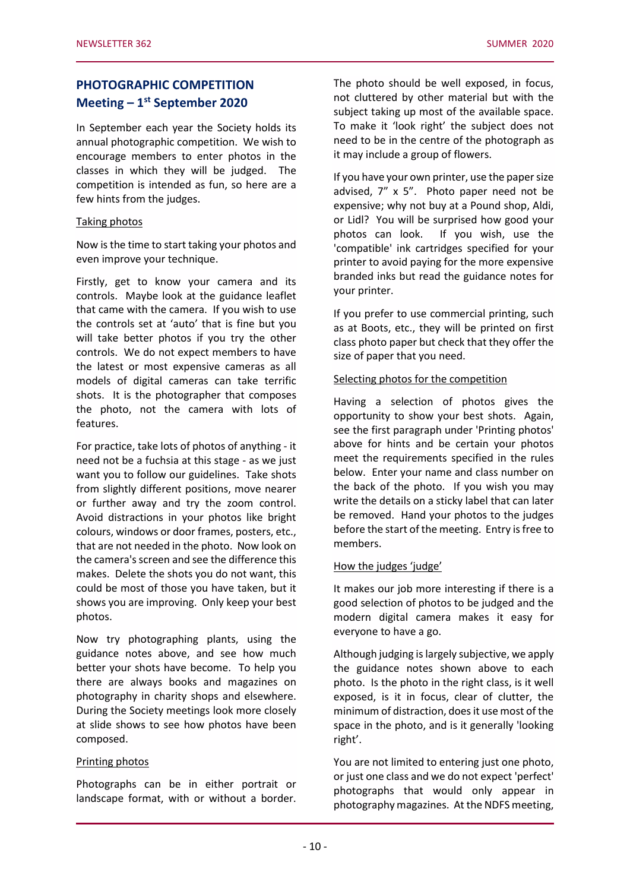## **PHOTOGRAPHIC COMPETITION Meeting – 1 st September 2020**

In September each year the Society holds its annual photographic competition. We wish to encourage members to enter photos in the classes in which they will be judged. The competition is intended as fun, so here are a few hints from the judges.

#### Taking photos

Now is the time to start taking your photos and even improve your technique.

Firstly, get to know your camera and its controls. Maybe look at the guidance leaflet that came with the camera. If you wish to use the controls set at 'auto' that is fine but you will take better photos if you try the other controls. We do not expect members to have the latest or most expensive cameras as all models of digital cameras can take terrific shots. It is the photographer that composes the photo, not the camera with lots of features.

For practice, take lots of photos of anything - it need not be a fuchsia at this stage - as we just want you to follow our guidelines. Take shots from slightly different positions, move nearer or further away and try the zoom control. Avoid distractions in your photos like bright colours, windows or door frames, posters, etc., that are not needed in the photo. Now look on the camera's screen and see the difference this makes. Delete the shots you do not want, this could be most of those you have taken, but it shows you are improving. Only keep your best photos.

Now try photographing plants, using the guidance notes above, and see how much better your shots have become. To help you there are always books and magazines on photography in charity shops and elsewhere. During the Society meetings look more closely at slide shows to see how photos have been composed.

#### Printing photos

Photographs can be in either portrait or landscape format, with or without a border. The photo should be well exposed, in focus, not cluttered by other material but with the subject taking up most of the available space. To make it 'look right' the subject does not need to be in the centre of the photograph as it may include a group of flowers.

If you have your own printer, use the paper size advised, 7" x 5". Photo paper need not be expensive; why not buy at a Pound shop, Aldi, or Lidl? You will be surprised how good your photos can look. If you wish, use the 'compatible' ink cartridges specified for your printer to avoid paying for the more expensive branded inks but read the guidance notes for your printer.

If you prefer to use commercial printing, such as at Boots, etc., they will be printed on first class photo paper but check that they offer the size of paper that you need.

#### Selecting photos for the competition

Having a selection of photos gives the opportunity to show your best shots. Again, see the first paragraph under 'Printing photos' above for hints and be certain your photos meet the requirements specified in the rules below. Enter your name and class number on the back of the photo. If you wish you may write the details on a sticky label that can later be removed. Hand your photos to the judges before the start of the meeting. Entry is free to members.

#### How the judges 'judge'

It makes our job more interesting if there is a good selection of photos to be judged and the modern digital camera makes it easy for everyone to have a go.

Although judging is largely subjective, we apply the guidance notes shown above to each photo. Is the photo in the right class, is it well exposed, is it in focus, clear of clutter, the minimum of distraction, does it use most of the space in the photo, and is it generally 'looking right'.

You are not limited to entering just one photo, or just one class and we do not expect 'perfect' photographs that would only appear in photography magazines. At the NDFS meeting,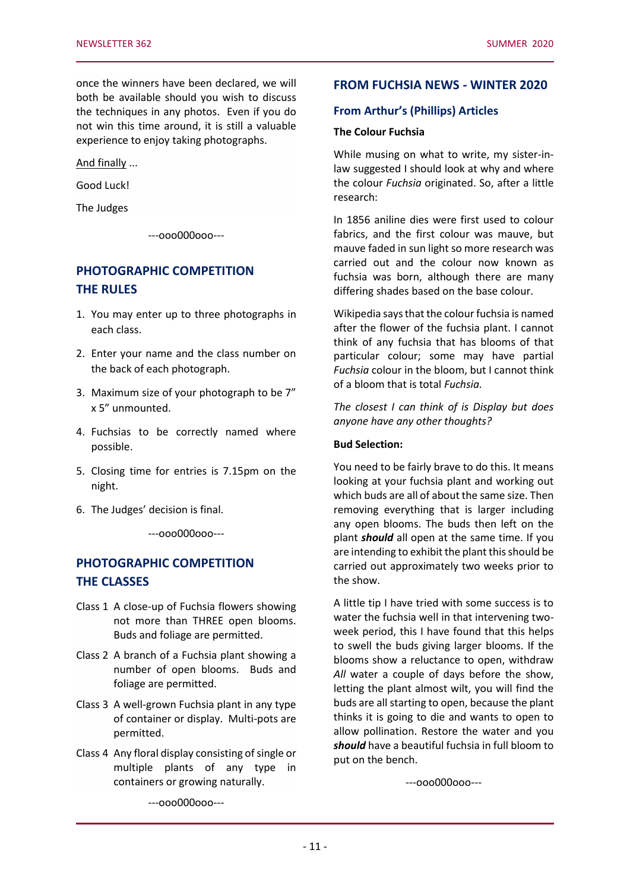once the winners have been declared, we will both be available should you wish to discuss the techniques in any photos. Even if you do not win this time around, it is still a valuable experience to enjoy taking photographs.

And finally ...

Good Luck!

The Judges

---ooo000ooo---

## **PHOTOGRAPHIC COMPETITION THE RULES**

- 1. You may enter up to three photographs in each class.
- 2. Enter your name and the class number on the back of each photograph.
- 3. Maximum size of your photograph to be 7" x 5" unmounted.
- 4. Fuchsias to be correctly named where possible.
- 5. Closing time for entries is 7.15pm on the night.
- 6. The Judges' decision is final.

---ooo000ooo---

## **PHOTOGRAPHIC COMPETITION THE CLASSES**

- Class 1 A close-up of Fuchsia flowers showing not more than THREE open blooms. Buds and foliage are permitted.
- Class 2 A branch of a Fuchsia plant showing a number of open blooms. Buds and foliage are permitted.
- Class 3 A well-grown Fuchsia plant in any type of container or display. Multi-pots are permitted.
- Class 4 Any floral display consisting of single or multiple plants of any type in containers or growing naturally.

**FROM FUCHSIA NEWS - WINTER 2020**

#### **From Arthur's (Phillips) Articles**

#### **The Colour Fuchsia**

While musing on what to write, my sister-inlaw suggested I should look at why and where the colour *Fuchsia* originated. So, after a little research:

In 1856 aniline dies were first used to colour fabrics, and the first colour was mauve, but mauve faded in sun light so more research was carried out and the colour now known as fuchsia was born, although there are many differing shades based on the base colour.

Wikipedia says that the colour fuchsia is named after the flower of the fuchsia plant. I cannot think of any fuchsia that has blooms of that particular colour; some may have partial *Fuchsia* colour in the bloom, but I cannot think of a bloom that is total *Fuchsia.*

*The closest I can think of is Display but does anyone have any other thoughts?*

#### **Bud Selection:**

You need to be fairly brave to do this. It means looking at your fuchsia plant and working out which buds are all of about the same size. Then removing everything that is larger including any open blooms. The buds then left on the plant *should* all open at the same time. If you are intending to exhibit the plant this should be carried out approximately two weeks prior to the show.

A little tip I have tried with some success is to water the fuchsia well in that intervening twoweek period, this I have found that this helps to swell the buds giving larger blooms. If the blooms show a reluctance to open, withdraw All water a couple of days before the show, letting the plant almost wilt, you will find the buds are all starting to open, because the plant thinks it is going to die and wants to open to allow pollination. Restore the water and you *should* have a beautiful fuchsia in full bloom to put on the bench.

---ooo000ooo---

---ooo000ooo---